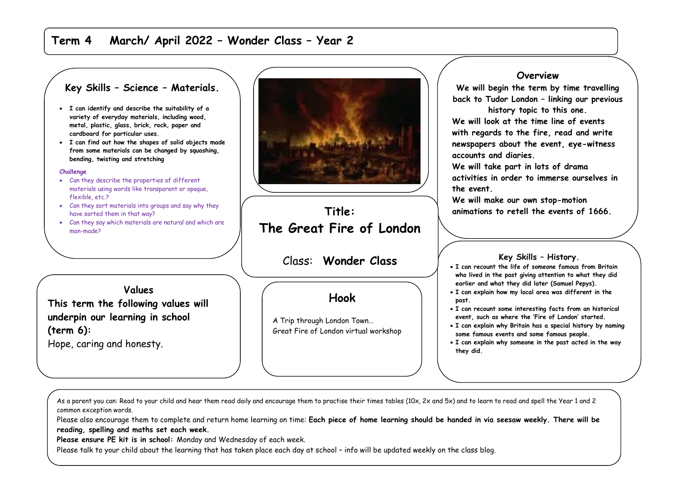## **Term 4 March/ April 2022 – Wonder Class – Year 2**

## **Key Skills – Science – Materials.**

- **I can identify and describe the suitability of a variety of everyday materials, including wood, metal, plastic, glass, brick, rock, paper and cardboard for particular uses.**
- **I can find out how the shapes of solid objects made from some materials can be changed by squashing, bending, twisting and stretching**

#### **Challenge**

- Can they describe the properties of different materials using words like transparent or opaque, flexible, etc.?
- Can they sort materials into groups and say why they have sorted them in that way?
- Can they say which materials are natural and which are man-made?

### **Values**

**This term the following values will underpin our learning in school (term 6):** Hope, caring and honesty.



# **Title: The Great Fire of London**

Class: **Wonder Class** 

## **Hook**

A Trip through London Town… Great Fire of London virtual workshop

### **Overview**

**We will begin the term by time travelling back to Tudor London – linking our previous history topic to this one.**

**We will look at the time line of events with regards to the fire, read and write newspapers about the event, eye-witness accounts and diaries.**

**We will take part in lots of drama activities in order to immerse ourselves in the event.**

**We will make our own stop-motion animations to retell the events of 1666.**

### **Key Skills – History.**

- **I can recount the life of someone famous from Britain who lived in the past giving attention to what they did earlier and what they did later (Samuel Pepys).**
- **I can explain how my local area was different in the past.**
- **I can recount some interesting facts from an historical event, such as where the 'Fire of London' started.**
- **I can explain why Britain has a special history by naming some famous events and some famous people.**
- **I can explain why someone in the past acted in the way they did.**

As a parent you can: Read to your child and hear them read daily and encourage them to practise their times tables (10x, 2x and 5x) and to learn to read and spell the Year 1 and 2 common exception words.

Please also encourage them to complete and return home learning on time: **Each piece of home learning should be handed in via seesaw weekly. There will be reading, spelling and maths set each week.** 

**Please ensure PE kit is in school:** Monday and Wednesday of each week.

Please talk to your child about the learning that has taken place each day at school – info will be updated weekly on the class blog.